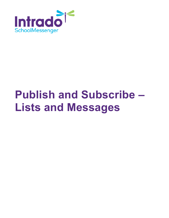

# **Publish and Subscribe – Lists and Messages**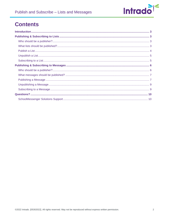

# **Contents**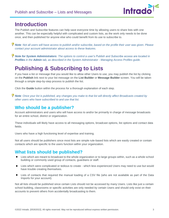

## <span id="page-2-0"></span>**Introduction**

The Publish and Subscribe features can help save everyone time by allowing users to share lists with one another. This can be especially helpful with complicated and custom lists, as the work only needs to be done once, and then published for anyone else who could benefit from its use to subscribe to.

*Note: Not all users will have access to publish and/or subscribe, based on the profile their user was given. Please contact your account administrator about access to these features.*

*Note for System Administrators: The options to control a user's Publish and Subscribe access are located in Profiles in the Admin tab, as described in the System Administrator - Managing Access Profiles guide.*

# <span id="page-2-1"></span>**Publishing & Subscribing to Lists**

If you have a list or message that you would like to allow other Users to use, you may publish the list by clicking on the **Publish** link next to your list message on the **List Builder** or **Message Builder** screen. You will be taken through a simple step-by-step process to publish the list.

Click the **Guide** button within the process for a thorough explanation of each step.

*Note: Once your list is published, any changes you make to that list will directly affect Broadcasts created by other users who have subscribed to and use that list.*

## <span id="page-2-2"></span>**Who should be a publisher?**

Account administrators and users who will have access to and/or be primarily in charge of message broadcasts for an entire school, district or organization.

These individuals will likely have access to all messaging options, broadcast options, list options and contact data fields.

Users who have a high functioning level of expertise and training.

Not all users should be publishers since most lists are simple rule-based lists which are easily created or contain contacts which are specific to the users function within your organization.

## <span id="page-2-3"></span>**What lists should be published?**

- Lists which are meant to broadcast to the whole organization or to large groups within, such as a whole school building or commonly used group of contacts, guardians or staff.
- Lists which were complicated or tedious to create which less experienced Users may need to use but would have trouble creating themselves.
- Lists of contacts that required the manual loading of a CSV file (who are not available as part of the Data Imports for your account).

Not all lists should be published since certain Lists should not be accessed by many Users. Lists like just a certain school building, classrooms or specific activities are only needed by certain Users and should only exist on their accounts to prevent others from accidentally broadcasting to them.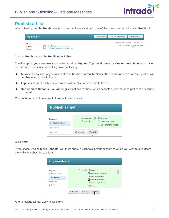

### <span id="page-3-0"></span>**Publish a List**

When viewing the **List Builder** (found under the **Broadcast** tab), one of the options for each list is to **Publish** it.

| My Lists o                             |                                                                                                           | ● Add New List ● ● Add New List by Section ● ★ Subscribe to a List |                                                                                                                                                                                                                                                           |
|----------------------------------------|-----------------------------------------------------------------------------------------------------------|--------------------------------------------------------------------|-----------------------------------------------------------------------------------------------------------------------------------------------------------------------------------------------------------------------------------------------------------|
| Sort By:<br><b>Name</b><br><b>Date</b> | <b>All Staff</b><br>May 30, 2022 7:16 am - District Staff<br>This list was last used: Jan 3, 2017 3:17 pm |                                                                    | Showing 1 - 8 of 8 records on 1 pages Page 1 $\times$<br>$\begin{array}{c}\n\mathcal{L}\n\end{array} \begin{array}{c}\n\mathsf{Edit} \\ \hline\n\end{array}$ Preview $\begin{array}{c}\n\mathsf{A}\n\\ \hline\n\end{array}$ Publish $\mathsf{X}\n$ Delete |

Clicking **Publish** starts the **Publication Editor**.

The first option you must select is whether to allow **Anyone**, **Top Level Users**, or **One or more Schools** to have permission to subscribe to the list you're publishing.

- **Anyone**: Every user of your account (who has been given the Subscribe permission based on their profile) will be able to subscribe to the list.
- **Top Level Users**: Only administrators will be able to subscribe to the list.
- **One or more Schools**: You will be given options to check which schools a user must be part of to subscribe to the list.

Click in the radio button in front of one of these choices.

| <b>Publish Target</b>      |                                             |                                           |  |  |  |  |  |  |
|----------------------------|---------------------------------------------|-------------------------------------------|--|--|--|--|--|--|
|                            |                                             |                                           |  |  |  |  |  |  |
| <b>Progress</b>            | Subscription @ Anyone<br><b>Permissions</b> |                                           |  |  |  |  |  |  |
| <b>Publish Target</b><br>D |                                             | ◯ Top Level Users<br>O One or more School |  |  |  |  |  |  |
| Confirm                    |                                             |                                           |  |  |  |  |  |  |
| Finish                     | X Cancel<br>Next                            |                                           |  |  |  |  |  |  |

#### Click **Next**.

If you chose **One or more Schools**, you must check all schools in your account to which you wish to give users the ability to subscribe to this list.

| <b>Organizations</b>                                       |                                                                                     |   |
|------------------------------------------------------------|-------------------------------------------------------------------------------------|---|
| <b>Progress</b><br><b>√</b> Publish Target                 | School <b>◎</b> □ Campus<br>Cedar View Elementary                                   | ▲ |
| Organizations<br>D.<br>Confirm<br>--------------<br>Finish | Cedar View Middle<br>Colfax High School<br>□ Concord High School<br><b>District</b> | ٠ |
|                                                            | X Cancel<br>$ightharpoonup$ Previous<br>$\Rightarrow$ Next<br>llm                   |   |

After checking all that apply, click **Next**.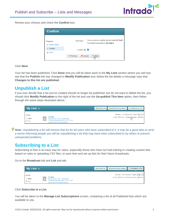

Review your choices and check the **Confirm** box.

| <b>Confirm</b>                                |                                      |                                                                                         |
|-----------------------------------------------|--------------------------------------|-----------------------------------------------------------------------------------------|
| <b>Progress</b><br><b>Publish Target</b><br>⊌ | Summary                              | You are about to publish the list called All Staff.<br>Permitted subscribers: All Users |
| $\triangleright$ Confirm                      | Confirm <b>&amp;</b>                 |                                                                                         |
| Finish                                        | X Cancel<br>$ightharpoonup$ Previous | $\Rightarrow$ Next<br>4m                                                                |

Click **Next**.

Your list has been published. Click **Done** and you will be taken back to the **My Lists** section where you will now see that the **Publish** link has changed to **Modify Publication** and, below the list details a message says that **Changes to this list are published**.

#### <span id="page-4-0"></span>**Unpublish a List**

If you ever decide that a list you've created should no longer be published, but do not want to delete the list, you should click **Modify Publication** to the right of the list and use the **Un-publish This Item** option, then follow through the same steps illustrated above.



*Note: Unpublishing a list will remove that list for all users who have subscribed to it. It may be a good idea to send a memo informing people you will be unpublishing a list that may have been subscribed to by others to prevent unexpected problems.*

#### <span id="page-4-1"></span>**Subscribing to a List**

Subscribing to lists is an easy way for users, especially those who have not had training in creating custom lists based on rules or uploading CSV files, to save time and set up lists for their future broadcasts.

Go to the **Broadcast** tab and **List** sub-tab.

| My Lists o                               |                                                                                                                                                  |  | ● Add New List ● Add New List by Section ● ☆ Subscribe to a List |                                                                                                         |
|------------------------------------------|--------------------------------------------------------------------------------------------------------------------------------------------------|--|------------------------------------------------------------------|---------------------------------------------------------------------------------------------------------|
| Sort By:<br><b>Name</b><br><b>D</b> Date | <b>All Staff</b><br>May 30, 2022 7:16 am - District Staff<br>This list was last used: Jan 3, 2017 3:17 pm<br>Changes to this list are published. |  |                                                                  | Showing 1 - 8 of 8 records on 1 pages Page 1 $\times$<br>Edit   Preview   Modify Publication   X Delete |

Click **Subscribe to a List**.

You will be taken to the **Manage List Subscriptions** screen, containing a list of all Published lists which are available to you.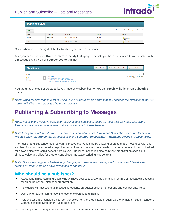

| <b>Published Lists</b> |                       |                      |         |                                                      |  |  |  |  |
|------------------------|-----------------------|----------------------|---------|------------------------------------------------------|--|--|--|--|
| <b>√</b> Done          |                       |                      |         | Showing 1-3 of 3 records on 1 pages. Page 1 $\times$ |  |  |  |  |
| Name                   | <b>Description</b>    | <b>Modified</b>      | Owner   | <b>Action</b>                                        |  |  |  |  |
| <b>All Staff</b>       | <b>District Staff</b> | May 30, 2022 7:16 am | cdanner | Subscribe                                            |  |  |  |  |
| <b>Test List</b>       |                       | Dec 30, 2021 2:32 pm | cdanner | $\frac{1}{2}$ Subscribe                              |  |  |  |  |

Click **Subscribe** to the right of the list to which you want to subscribe.

After you subscribe, click **Done** to return to the **My Lists** page. The lists you have subscribed to will be listed with a message saying **You are subscribed to this list**.

| <b>My Lists o</b>                 |                                                                                                                                                                  | ● Add New List ● ● Add New List by Section ● ★ Subscribe to a List |                                                                                    |
|-----------------------------------|------------------------------------------------------------------------------------------------------------------------------------------------------------------|--------------------------------------------------------------------|------------------------------------------------------------------------------------|
| Sort By:<br>Name<br><b>D</b> Date | <b>All Staff</b><br>May 30, 2022 7:16 am - District Staff<br>This list was last used: Jan 3, 2017 3:17 pm<br>A You are subscribed to this list. Owner: (cdanner) |                                                                    | Showing 1 - 1 of 1 records on 1 pages Page 1 $\times$<br>Preview July Un-Subscribe |

You are unable to edit or delete a list you have only subscribed to. You can **Preview** the list or **Un-subscribe** from it.

*Note: When broadcasting to a list to which you've subscribed, be aware that any changes the publisher of that list makes will affect the recipients of future Broadcasts.*

## <span id="page-5-0"></span>**Publishing & Subscribing to Messages**

*Note: Not all users will have access to Publish and/or Subscribe, based on the profile their user was given. Please contact your account administrator about access to these features.*

*Note for System Administrators: The options to control a user's Publish and Subscribe access are located in Profiles under the Admin tab, as described in the System Administrator – Managing Access Profiles guide.*

The Publish and Subscribe features can help save everyone time by allowing users to share messages with one another. This can be especially helpful in saving time, as the work only needs to be done once and then published for anyone else who could benefit from its use. Published messages also help your organization speak in a singular voice and allow for greater control over message scripting and content.

*Note: Once a message is published, any changes you make to that message will directly affect Broadcasts created by other users who have subscribed to and use it.*

#### <span id="page-5-1"></span>**Who should be a publisher?**

- Account administrators and Users who will have access to and/or be primarily in charge of message broadcasts for an entire school, district or organization.
- Individuals with access to all messaging options, broadcast options, list options and contact data fields.
- Users who have a high functioning level of expertise and training.
- Persons who are considered to be "the voice" of the organization, such as the Principal, Superintendent, Communications Director or Public Relations.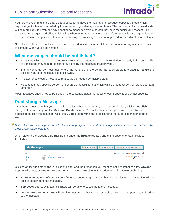#### Publish and Subscribe – Lists and Messages



Your organization might find that it is a good policy to have the majority of messages, especially those which require urgent attention, recorded by the same, recognizable figure of authority. The recipients of your broadcasts will be more likely to listen and pay attention to messages from a person they both recognize and respect. This gives your messages credibility, which is key when trying to convey important information. It is also a good idea to discuss and write scripts and rules for your messages, providing a sense of approved, unified direction and clarity.

Not all users should be publishers since most individuals' messages will have pertinence to only a limited number of contacts within your organization.

#### <span id="page-6-0"></span>**What messages should be published?**

- Messages which are generic and reusable, such as attendance, weekly reminders or study hall. Too specific of a message may require constant revisions by the message creator/owner.
- Standby emergency messages where the verbiage of the script has been carefully crafted to handle the delicate nature of the issue, like lockdowns.
- **•** Pre-approved closure messages that could be needed by multiple staff.
- Messages that a specific person is in charge of recording, but which will be broadcast by a different User at a later time.

Most messages should not be published if the content is date/time-specific, event-specific or contact-specific.

### <span id="page-6-1"></span>**Publishing a Message**

If you have a message that you would like to allow other users to use, you may publish it by clicking **Publish** to the right of the message on the **Message Builder** screen. You will be taken through a simple step-by-step process to publish the message. Click the **Guide** button within the process for a thorough explanation of each step.

#### *Note: Once your message is published, any changes you make to that message will affect Broadcasts created by other users subscribing to it.*

When viewing the **Message Builder** (found under the **Broadcast** tab), one of the options for each list is to **Publish** it.

| <b>My Messages</b>                  |                                               | Add New Message <b>C</b> Add New Stationery | Subscribe to Msg/Stationery/Newsletter                                                                            |
|-------------------------------------|-----------------------------------------------|---------------------------------------------|-------------------------------------------------------------------------------------------------------------------|
| Views:<br>$\bullet$ All<br>Messages | <b>Attendance</b><br>May 26, 2022 1:20 pm - ⊠ |                                             | Showing 1 - 13 of 13 records on 1 pages Page 1 $\times$<br>$\log$ Edit $\frac{1}{2}$ Sublish $\frac{1}{2}$ Delete |

Clicking on **Publish** starts the Publication Editor and the first option you must select is whether to allow **Anyone**, **Top Level Users**, or **One or more Schools** to have permission to Subscribe to the list you're publishing.

- **Anyone**: Every user of your account (who has been assigned the Subscribe permission in their Profile) will be able to subscribe to the message.
- **Top Level Users**: Only administrators will be able to subscribe to the message.
- **One or more Schools**: You will be given options to check which schools a user must be part of to subscribe to the message.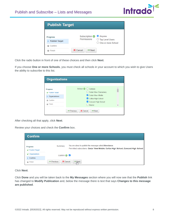

| <b>Publish Target</b>                    |                                      |                                                       |  |  |  |  |  |
|------------------------------------------|--------------------------------------|-------------------------------------------------------|--|--|--|--|--|
| <b>Progress</b><br><b>Publish Target</b> | Subscription @<br><b>Permissions</b> | ● Anyone<br>◯ Top Level Users<br>O One or more School |  |  |  |  |  |
| Confirm<br>Finish                        | X Cancel<br>$ightharpoonup$ Next     |                                                       |  |  |  |  |  |

Click the radio button in front of one of these choices and then click **Next**.

If you choose **One or more Schools**, you must check all schools in your account to which you wish to give Users the ability to subscribe to this list.

| <b>Organizations</b>       |                                              |   |
|----------------------------|----------------------------------------------|---|
|                            |                                              |   |
| <b>Progress</b>            | School <i>●</i> □ Campus                     |   |
| <b>Publish Target</b><br>້ | □ Cedar View Elementary                      |   |
| Organizations<br>D.        | Cedar View Middle                            |   |
| Confirm<br>⋒               | Colfax High School                           |   |
|                            | Concord High School                          |   |
| <b>Finish</b>              | <b>District</b>                              | ÷ |
|                            | X Cancel<br>← Previous<br>$\Rightarrow$ Next |   |

After checking all that apply, click **Next**.

| Review your choices and check the Confirm box. |  |  |  |  |  |  |
|------------------------------------------------|--|--|--|--|--|--|
|------------------------------------------------|--|--|--|--|--|--|

| <b>Confirm</b>                                |                        |                                                                                                                                              |  |  |
|-----------------------------------------------|------------------------|----------------------------------------------------------------------------------------------------------------------------------------------|--|--|
| <b>Progress</b><br><b>Publish Target</b><br>✔ | Summary                | You are about to publish the message called Attendance.<br>Permitted subscribers: Cedar View Middle, Colfax High School, Concord High School |  |  |
| Organizations<br>້                            | Confirm <b>O</b>       |                                                                                                                                              |  |  |
| $\triangleright$ Confirm                      |                        |                                                                                                                                              |  |  |
| Finish<br>8                                   | X Cancel<br>← Previous | $\Rightarrow$ Next<br>Чш∍                                                                                                                    |  |  |

#### Click **Next**.

Click **Done** and you will be taken back to the **My Messages** section where you will now see that the **Publish** link has changed to **Modify Publication** and, below the message there is text that says **Changes to this message are published**.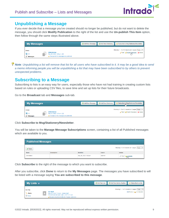

#### <span id="page-8-0"></span>**Unpublishing a Message**

If you ever decide that a message you've created should no longer be published, but do not want to delete the message, you should click **Modify Publication** to the right of the list and use the **Un-publish This Item** option, then follow through the same steps illustrated above.

| <b>My Messages</b>                         |                                                                                         | Add New Message | Add New Stationery | Subscribe to Msg/Stationery/Newsletter                                                                                         |  |  |
|--------------------------------------------|-----------------------------------------------------------------------------------------|-----------------|--------------------|--------------------------------------------------------------------------------------------------------------------------------|--|--|
| Views:<br><b>OF All</b><br><b>Messages</b> | <b>Attendance</b><br>May 26, 2022 1:20 pm - S<br>Changes to this message are published. |                 |                    | Showing 1 - 13 of 13 records on 1 pages   Page 1 $\times$<br>$\ell$ Edit $\frac{1}{2}$ Modify Publication $\frac{1}{2}$ Delete |  |  |

*Note: Unpublishing a list will remove that list for all users who have subscribed to it. It may be a good idea to send a memo informing people you will be unpublishing a list that may have been subscribed to by others to prevent unexpected problems.*

### <span id="page-8-1"></span>**Subscribing to a Message**

Subscribing to lists is an easy way for users, especially those who have not had training in creating custom lists based on rules or uploading CSV files, to save time and set up lists for their future broadcasts.

Go to the **Broadcast** tab and **Messages** sub-tab.

| <b>My Messages</b>                         |                                                                                         | Add New Message | Add New Stationery | Subscribe to Msg/Stationery/Newsletter                                                          |
|--------------------------------------------|-----------------------------------------------------------------------------------------|-----------------|--------------------|-------------------------------------------------------------------------------------------------|
| Views:<br>$\bullet$ All<br><b>Messages</b> | <b>Attendance</b><br>May 26, 2022 1:20 pm - M<br>Changes to this message are published. |                 |                    | Showing 1 - 13 of 13 records on 1 pages Page 1 $\times$<br>Edit   Modify Publication   X Delete |

Click **Subscribe to Msg/Stationery/Newsletter**.

You will be taken to the **Manage Message Subscriptions** screen, containing a list of all Published messages which are available to you.

| <b>Published Messages</b>                                      |                    |                      |         |                                  |  |  |
|----------------------------------------------------------------|--------------------|----------------------|---------|----------------------------------|--|--|
| Showing 1-3 of 3 records on 1 pages. Page 1 v<br><b>√</b> Done |                    |                      |         |                                  |  |  |
| Name                                                           | <b>Description</b> | <b>Modified</b>      | Owner   | <b>Action</b>                    |  |  |
| Attendance                                                     |                    | May 26, 2022 1:20 pm | cdanner | $\log$ View $\frac{1}{\sqrt{m}}$ |  |  |

Click **Subscribe** to the right of the message to which you want to subscribe.

After you subscribe, click **Done** to return to the **My Messages** page. The messages you have subscribed to will be listed with a message saying **You are subscribed to this message**.

| My Lists o                               |                                                                                                                                                                | Add New List   C Add New List by Section | Subscribe to a List                                                              |
|------------------------------------------|----------------------------------------------------------------------------------------------------------------------------------------------------------------|------------------------------------------|----------------------------------------------------------------------------------|
| Sort By:<br><b>Name</b><br><b>D</b> Date | <b>All Staff</b><br>May 30, 2022 7:16 am - District Staff<br>This list was last used: Jan 3, 2017 3:17 pm<br>Who are subscribed to this list. Owner: (cdanner) |                                          | Showing 1 - 1 of 1 records on 1 pages   Page 1 $\times$<br>Preview Jun-Subscribe |